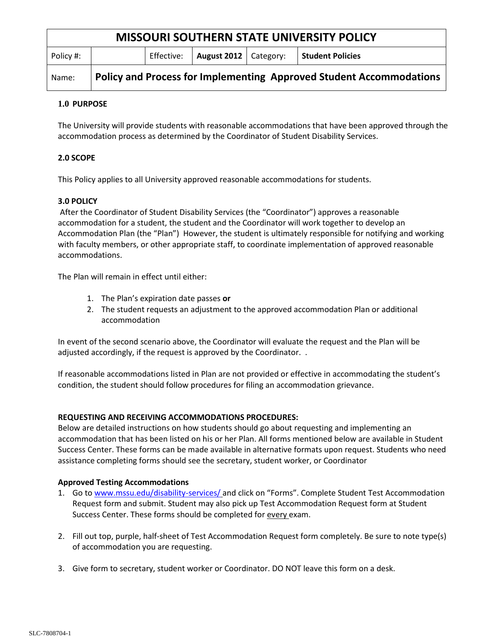| <b>MISSOURI SOUTHERN STATE UNIVERSITY POLICY</b> |                                                                            |            |                         |  |                         |
|--------------------------------------------------|----------------------------------------------------------------------------|------------|-------------------------|--|-------------------------|
| Policy #:                                        |                                                                            | Effective: | August 2012   Category: |  | <b>Student Policies</b> |
| Name:                                            | <b>Policy and Process for Implementing Approved Student Accommodations</b> |            |                         |  |                         |

# **1.0 PURPOSE**

The University will provide students with reasonable accommodations that have been approved through the accommodation process as determined by the Coordinator of Student Disability Services.

# **2.0 SCOPE**

This Policy applies to all University approved reasonable accommodations for students.

# **3.0 POLICY**

After the Coordinator of Student Disability Services (the "Coordinator") approves a reasonable accommodation for a student, the student and the Coordinator will work together to develop an Accommodation Plan (the "Plan") However, the student is ultimately responsible for notifying and working with faculty members, or other appropriate staff, to coordinate implementation of approved reasonable accommodations.

The Plan will remain in effect until either:

- 1. The Plan's expiration date passes **or**
- 2. The student requests an adjustment to the approved accommodation Plan or additional accommodation

In event of the second scenario above, the Coordinator will evaluate the request and the Plan will be adjusted accordingly, if the request is approved by the Coordinator. .

If reasonable accommodations listed in Plan are not provided or effective in accommodating the student's condition, the student should follow procedures for filing an accommodation grievance.

## **REQUESTING AND RECEIVING ACCOMMODATIONS PROCEDURES:**

Below are detailed instructions on how students should go about requesting and implementing an accommodation that has been listed on his or her Plan. All forms mentioned below are available in Student Success Center. These forms can be made available in alternative formats upon request. Students who need assistance completing forms should see the secretary, student worker, or Coordinator

## **Approved Testing Accommodations**

- 1. Go to [www.mssu.edu/disability-services/](file:///C:/Users/musser-l/AppData/Local/Microsoft/Windows/Temporary%20Internet%20Files/Content.Outlook/1S1QWUOJ/www.mssu.edu/disability-services/) and click on "Forms". Complete Student Test Accommodation Request form and submit. Student may also pick up Test Accommodation Request form at Student Success Center. These forms should be completed for every exam.
- 2. Fill out top, purple, half-sheet of Test Accommodation Request form completely. Be sure to note type(s) of accommodation you are requesting.
- 3. Give form to secretary, student worker or Coordinator. DO NOT leave this form on a desk.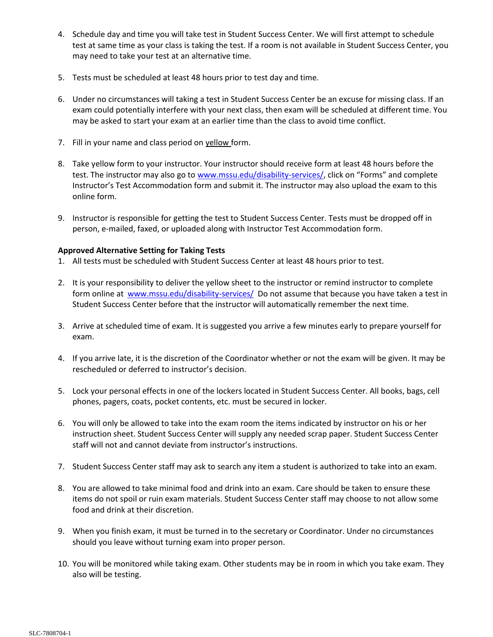- 4. Schedule day and time you will take test in Student Success Center. We will first attempt to schedule test at same time as your class is taking the test. If a room is not available in Student Success Center, you may need to take your test at an alternative time.
- 5. Tests must be scheduled at least 48 hours prior to test day and time.
- 6. Under no circumstances will taking a test in Student Success Center be an excuse for missing class. If an exam could potentially interfere with your next class, then exam will be scheduled at different time. You may be asked to start your exam at an earlier time than the class to avoid time conflict.
- 7. Fill in your name and class period on yellow form.
- 8. Take yellow form to your instructor. Your instructor should receive form at least 48 hours before the test. The instructor may also go to [www.mssu.edu/disability-services/](file:///C:/Users/musser-l/AppData/Local/Microsoft/Windows/Temporary%20Internet%20Files/Content.Outlook/1S1QWUOJ/www.mssu.edu/disability-services/), click on "Forms" and complete Instructor's Test Accommodation form and submit it. The instructor may also upload the exam to this online form.
- 9. Instructor is responsible for getting the test to Student Success Center. Tests must be dropped off in person, e-mailed, faxed, or uploaded along with Instructor Test Accommodation form.

#### **Approved Alternative Setting for Taking Tests**

- 1. All tests must be scheduled with Student Success Center at least 48 hours prior to test.
- 2. It is your responsibility to deliver the yellow sheet to the instructor or remind instructor to complete form online at [www.mssu.edu/disability-services/](http://www.mssu.edu/disability-services/) Do not assume that because you have taken a test in Student Success Center before that the instructor will automatically remember the next time.
- 3. Arrive at scheduled time of exam. It is suggested you arrive a few minutes early to prepare yourself for exam.
- 4. If you arrive late, it is the discretion of the Coordinator whether or not the exam will be given. It may be rescheduled or deferred to instructor's decision.
- 5. Lock your personal effects in one of the lockers located in Student Success Center. All books, bags, cell phones, pagers, coats, pocket contents, etc. must be secured in locker.
- 6. You will only be allowed to take into the exam room the items indicated by instructor on his or her instruction sheet. Student Success Center will supply any needed scrap paper. Student Success Center staff will not and cannot deviate from instructor's instructions.
- 7. Student Success Center staff may ask to search any item a student is authorized to take into an exam.
- 8. You are allowed to take minimal food and drink into an exam. Care should be taken to ensure these items do not spoil or ruin exam materials. Student Success Center staff may choose to not allow some food and drink at their discretion.
- 9. When you finish exam, it must be turned in to the secretary or Coordinator. Under no circumstances should you leave without turning exam into proper person.
- 10. You will be monitored while taking exam. Other students may be in room in which you take exam. They also will be testing.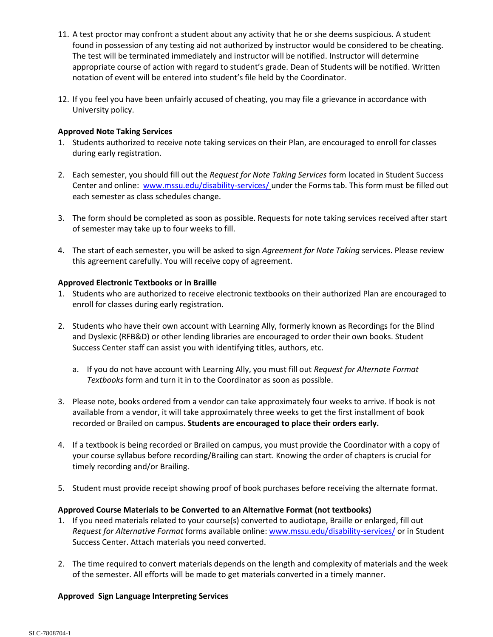- 11. A test proctor may confront a student about any activity that he or she deems suspicious. A student found in possession of any testing aid not authorized by instructor would be considered to be cheating. The test will be terminated immediately and instructor will be notified. Instructor will determine appropriate course of action with regard to student's grade. Dean of Students will be notified. Written notation of event will be entered into student's file held by the Coordinator.
- 12. If you feel you have been unfairly accused of cheating, you may file a grievance in accordance with University policy.

### **Approved Note Taking Services**

- 1. Students authorized to receive note taking services on their Plan, are encouraged to enroll for classes during early registration.
- 2. Each semester, you should fill out the *Request for Note Taking Services* form located in Student Success Center and online: [www.mssu.edu/disability-services/](http://www.mssu.edu/disability-services/) under the Forms tab. This form must be filled out each semester as class schedules change.
- 3. The form should be completed as soon as possible. Requests for note taking services received after start of semester may take up to four weeks to fill.
- 4. The start of each semester, you will be asked to sign *Agreement for Note Taking* services. Please review this agreement carefully. You will receive copy of agreement.

## **Approved Electronic Textbooks or in Braille**

- 1. Students who are authorized to receive electronic textbooks on their authorized Plan are encouraged to enroll for classes during early registration.
- 2. Students who have their own account with Learning Ally, formerly known as Recordings for the Blind and Dyslexic (RFB&D) or other lending libraries are encouraged to order their own books. Student Success Center staff can assist you with identifying titles, authors, etc.
	- a. If you do not have account with Learning Ally, you must fill out *Request for Alternate Format Textbooks* form and turn it in to the Coordinator as soon as possible.
- 3. Please note, books ordered from a vendor can take approximately four weeks to arrive. If book is not available from a vendor, it will take approximately three weeks to get the first installment of book recorded or Brailed on campus. **Students are encouraged to place their orders early.**
- 4. If a textbook is being recorded or Brailed on campus, you must provide the Coordinator with a copy of your course syllabus before recording/Brailing can start. Knowing the order of chapters is crucial for timely recording and/or Brailing.
- 5. Student must provide receipt showing proof of book purchases before receiving the alternate format.

#### **Approved Course Materials to be Converted to an Alternative Format (not textbooks)**

- 1. If you need materials related to your course(s) converted to audiotape, Braille or enlarged, fill out *Request for Alternative Format* forms available online: [www.mssu.edu/disability-services/](http://www.mssu.edu/disability-services/) or in Student Success Center. Attach materials you need converted.
- 2. The time required to convert materials depends on the length and complexity of materials and the week of the semester. All efforts will be made to get materials converted in a timely manner.

#### **Approved Sign Language Interpreting Services**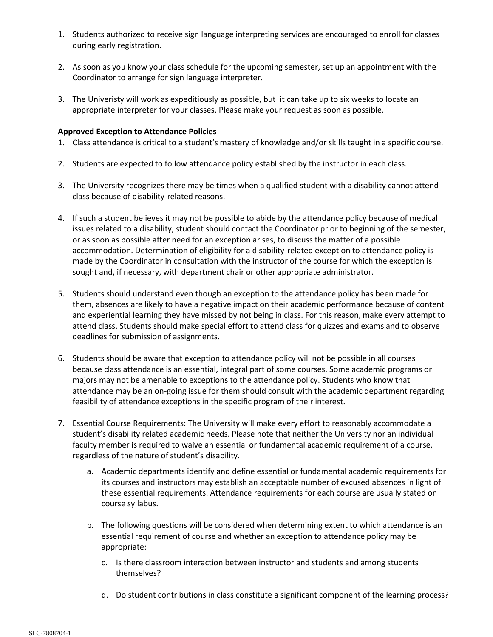- 1. Students authorized to receive sign language interpreting services are encouraged to enroll for classes during early registration.
- 2. As soon as you know your class schedule for the upcoming semester, set up an appointment with the Coordinator to arrange for sign language interpreter.
- 3. The Univeristy will work as expeditiously as possible, but it can take up to six weeks to locate an appropriate interpreter for your classes. Please make your request as soon as possible.

### **Approved Exception to Attendance Policies**

- 1. Class attendance is critical to a student's mastery of knowledge and/or skills taught in a specific course.
- 2. Students are expected to follow attendance policy established by the instructor in each class.
- 3. The University recognizes there may be times when a qualified student with a disability cannot attend class because of disability-related reasons.
- 4. If such a student believes it may not be possible to abide by the attendance policy because of medical issues related to a disability, student should contact the Coordinator prior to beginning of the semester, or as soon as possible after need for an exception arises, to discuss the matter of a possible accommodation. Determination of eligibility for a disability-related exception to attendance policy is made by the Coordinator in consultation with the instructor of the course for which the exception is sought and, if necessary, with department chair or other appropriate administrator.
- 5. Students should understand even though an exception to the attendance policy has been made for them, absences are likely to have a negative impact on their academic performance because of content and experiential learning they have missed by not being in class. For this reason, make every attempt to attend class. Students should make special effort to attend class for quizzes and exams and to observe deadlines for submission of assignments.
- 6. Students should be aware that exception to attendance policy will not be possible in all courses because class attendance is an essential, integral part of some courses. Some academic programs or majors may not be amenable to exceptions to the attendance policy. Students who know that attendance may be an on-going issue for them should consult with the academic department regarding feasibility of attendance exceptions in the specific program of their interest.
- 7. Essential Course Requirements: The University will make every effort to reasonably accommodate a student's disability related academic needs. Please note that neither the University nor an individual faculty member is required to waive an essential or fundamental academic requirement of a course, regardless of the nature of student's disability.
	- a. Academic departments identify and define essential or fundamental academic requirements for its courses and instructors may establish an acceptable number of excused absences in light of these essential requirements. Attendance requirements for each course are usually stated on course syllabus.
	- b. The following questions will be considered when determining extent to which attendance is an essential requirement of course and whether an exception to attendance policy may be appropriate:
		- c. Is there classroom interaction between instructor and students and among students themselves?
		- d. Do student contributions in class constitute a significant component of the learning process?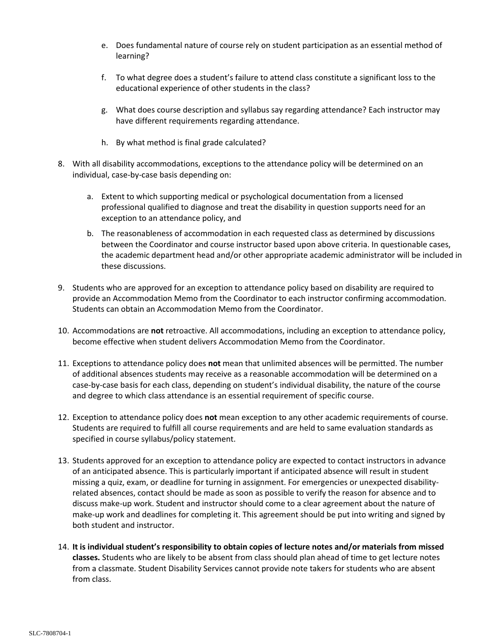- e. Does fundamental nature of course rely on student participation as an essential method of learning?
- f. To what degree does a student's failure to attend class constitute a significant loss to the educational experience of other students in the class?
- g. What does course description and syllabus say regarding attendance? Each instructor may have different requirements regarding attendance.
- h. By what method is final grade calculated?
- 8. With all disability accommodations, exceptions to the attendance policy will be determined on an individual, case-by-case basis depending on:
	- a. Extent to which supporting medical or psychological documentation from a licensed professional qualified to diagnose and treat the disability in question supports need for an exception to an attendance policy, and
	- b. The reasonableness of accommodation in each requested class as determined by discussions between the Coordinator and course instructor based upon above criteria. In questionable cases, the academic department head and/or other appropriate academic administrator will be included in these discussions.
- 9. Students who are approved for an exception to attendance policy based on disability are required to provide an Accommodation Memo from the Coordinator to each instructor confirming accommodation. Students can obtain an Accommodation Memo from the Coordinator.
- 10. Accommodations are **not** retroactive. All accommodations, including an exception to attendance policy, become effective when student delivers Accommodation Memo from the Coordinator.
- 11. Exceptions to attendance policy does **not** mean that unlimited absences will be permitted. The number of additional absences students may receive as a reasonable accommodation will be determined on a case-by-case basis for each class, depending on student's individual disability, the nature of the course and degree to which class attendance is an essential requirement of specific course.
- 12. Exception to attendance policy does **not** mean exception to any other academic requirements of course. Students are required to fulfill all course requirements and are held to same evaluation standards as specified in course syllabus/policy statement.
- 13. Students approved for an exception to attendance policy are expected to contact instructors in advance of an anticipated absence. This is particularly important if anticipated absence will result in student missing a quiz, exam, or deadline for turning in assignment. For emergencies or unexpected disabilityrelated absences, contact should be made as soon as possible to verify the reason for absence and to discuss make-up work. Student and instructor should come to a clear agreement about the nature of make-up work and deadlines for completing it. This agreement should be put into writing and signed by both student and instructor.
- 14. **It is individual student's responsibility to obtain copies of lecture notes and/or materials from missed classes.** Students who are likely to be absent from class should plan ahead of time to get lecture notes from a classmate. Student Disability Services cannot provide note takers for students who are absent from class.